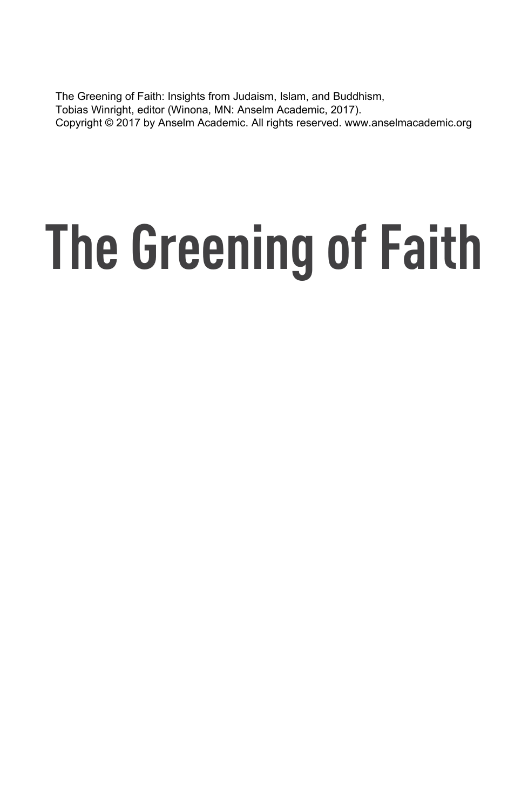The Greening of Faith: Insights from Judaism, Islam, and Buddhism, Tobias Winright, editor (Winona, MN: Anselm Academic, 2017). Copyright © 2017 by Anselm Academic. All rights reserved. www.anselmacademic.org

# **The Greening of Faith**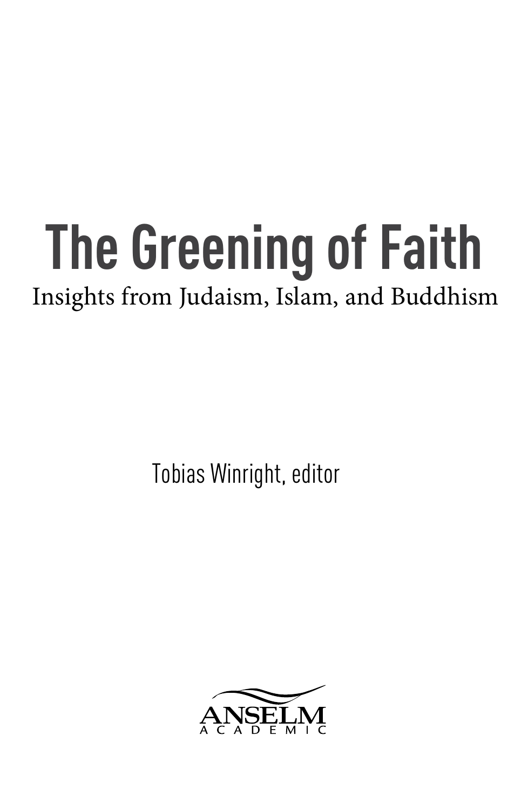# Insights from Judaism, Islam, and Buddhism **The Greening of Faith**

Tobias Winright, editor

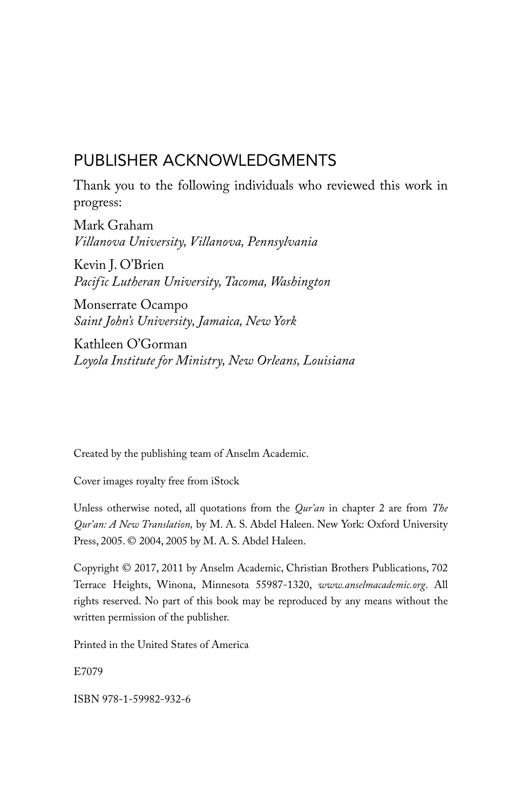#### PUBLISHER ACKNOWLEDGMENTS

Thank you to the following individuals who reviewed this work in progress:

Mark Graham *Villanova University, Villanova, Pennsylvania*

Kevin J. O'Brien *Pacific Lutheran University, Tacoma, Washington*

Monserrate Ocampo *Saint John's University, Jamaica, New York*

Kathleen O'Gorman *Loyola Institute for Ministry, New Orleans, Louisiana*

Created by the publishing team of Anselm Academic.

Cover images royalty free from iStock

Unless otherwise noted, all quotations from the *Qur'an* in chapter 2 are from *The Qur'an: A New Translation,* by M. A. S. Abdel Haleen. New York: Oxford University Press, 2005. © 2004, 2005 by M. A. S. Abdel Haleen.

Copyright © 2017, 2011 by Anselm Academic, Christian Brothers Publications, 702 Terrace Heights, Winona, Minnesota 55987-1320, *www.anselmacademic.org*. All rights reserved. No part of this book may be reproduced by any means without the written permission of the publisher.

Printed in the United States of America

E7079

ISBN 978-1-59982-932-6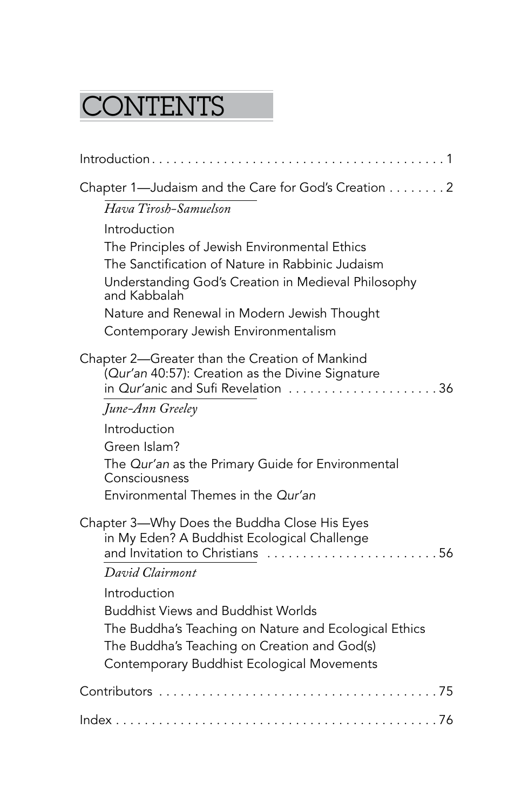# CONTENTS

| Introduction                                                                                                                             |
|------------------------------------------------------------------------------------------------------------------------------------------|
| Chapter 1-Judaism and the Care for God's Creation 2                                                                                      |
| Hava Tirosh-Samuelson                                                                                                                    |
| Introduction                                                                                                                             |
| The Principles of Jewish Environmental Ethics                                                                                            |
| The Sanctification of Nature in Rabbinic Judaism                                                                                         |
| Understanding God's Creation in Medieval Philosophy<br>and Kabbalah                                                                      |
| Nature and Renewal in Modern Jewish Thought                                                                                              |
| Contemporary Jewish Environmentalism                                                                                                     |
| Chapter 2-Greater than the Creation of Mankind<br>(Qur'an 40:57): Creation as the Divine Signature<br>in Qur'anic and Sufi Revelation 36 |
| June-Ann Greeley                                                                                                                         |
| Introduction                                                                                                                             |
| Green Islam?                                                                                                                             |
| The Qur'an as the Primary Guide for Environmental<br>Consciousness                                                                       |
| Environmental Themes in the Qur'an                                                                                                       |
| Chapter 3-Why Does the Buddha Close His Eyes<br>in My Eden? A Buddhist Ecological Challenge<br>and Invitation to Christians 56           |
| David Clairmont                                                                                                                          |
| Introduction                                                                                                                             |
| <b>Buddhist Views and Buddhist Worlds</b>                                                                                                |
| The Buddha's Teaching on Nature and Ecological Ethics                                                                                    |
| The Buddha's Teaching on Creation and God(s)<br>Contemporary Buddhist Ecological Movements                                               |
|                                                                                                                                          |
|                                                                                                                                          |
|                                                                                                                                          |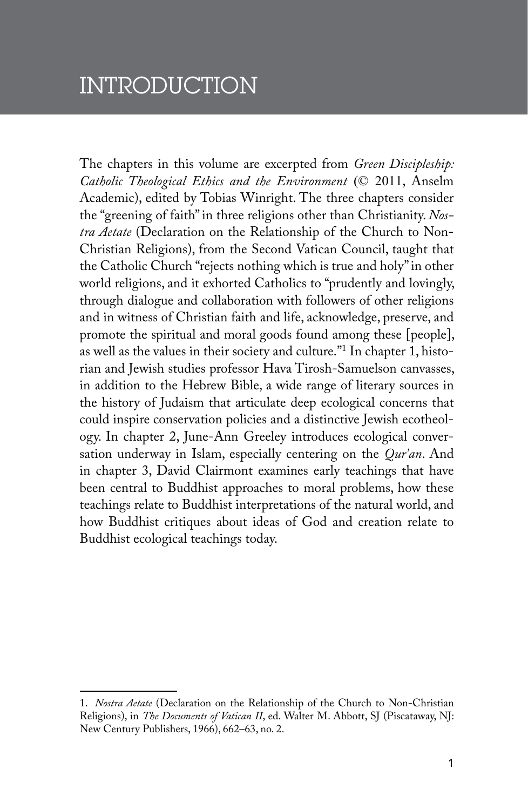### INTRODUCTION

The chapters in this volume are excerpted from *Green Discipleship: Catholic Theological Ethics and the Environment* (© 2011, Anselm Academic), edited by Tobias Winright. The three chapters consider the "greening of faith" in three religions other than Christianity. *Nostra Aetate* (Declaration on the Relationship of the Church to Non-Christian Religions), from the Second Vatican Council, taught that the Catholic Church "rejects nothing which is true and holy" in other world religions, and it exhorted Catholics to "prudently and lovingly, through dialogue and collaboration with followers of other religions and in witness of Christian faith and life, acknowledge, preserve, and promote the spiritual and moral goods found among these [people], as well as the values in their society and culture."<sup>1</sup> In chapter 1, historian and Jewish studies professor Hava Tirosh-Samuelson canvasses, in addition to the Hebrew Bible, a wide range of literary sources in the history of Judaism that articulate deep ecological concerns that could inspire conservation policies and a distinctive Jewish ecotheology. In chapter 2, June-Ann Greeley introduces ecological conversation underway in Islam, especially centering on the *Qur'an*. And in chapter 3, David Clairmont examines early teachings that have been central to Buddhist approaches to moral problems, how these teachings relate to Buddhist interpretations of the natural world, and how Buddhist critiques about ideas of God and creation relate to Buddhist ecological teachings today.

<sup>1.</sup> *Nostra Aetate* (Declaration on the Relationship of the Church to Non-Christian Religions), in *The Documents of Vatican II*, ed. Walter M. Abbott, SJ (Piscataway, NJ: New Century Publishers, 1966), 662–63, no. 2.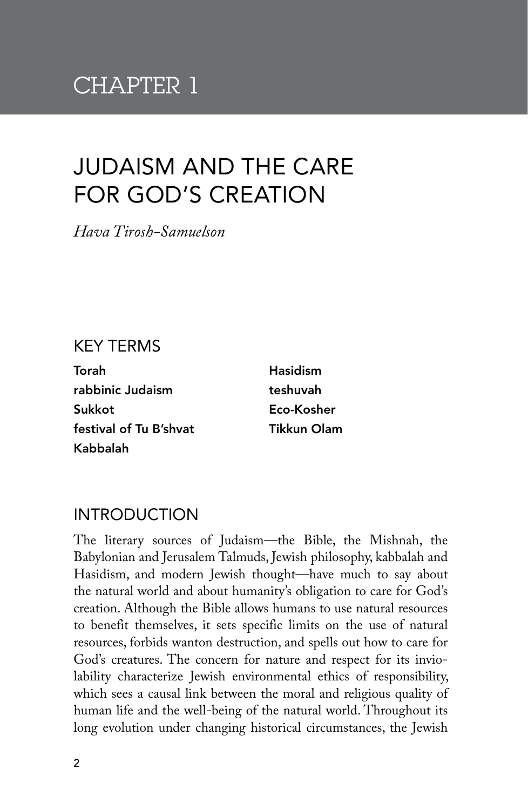## JUDAISM AND THE CARE FOR GOD'S CREATION

*Hava Tirosh-Samuelson* 

#### KEY TERMS

Torah rabbinic Judaism Sukkot festival of Tu B'shvat Kabbalah

Hasidism teshuvah Eco-Kosher Tikkun Olam

#### INTRODUCTION

The literary sources of Judaism—the Bible, the Mishnah, the Babylonian and Jerusalem Talmuds, Jewish philosophy, kabbalah and Hasidism, and modern Jewish thought—have much to say about the natural world and about humanity's obligation to care for God's creation. Although the Bible allows humans to use natural resources to benefit themselves, it sets specific limits on the use of natural resources, forbids wanton destruction, and spells out how to care for God's creatures. The concern for nature and respect for its inviolability characterize Jewish environmental ethics of responsibility, which sees a causal link between the moral and religious quality of human life and the well-being of the natural world. Throughout its long evolution under changing historical circumstances, the Jewish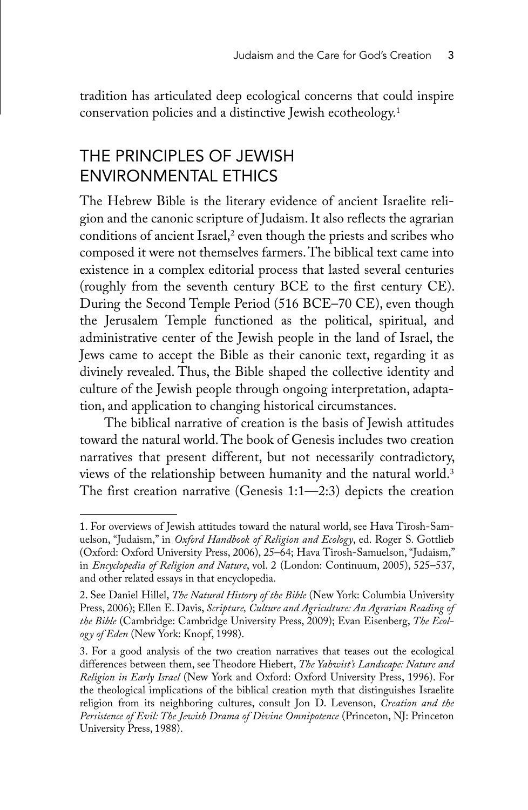tradition has articulated deep ecological concerns that could inspire conservation policies and a distinctive Jewish ecotheology.1

#### THE PRINCIPLES OF JEWISH ENVIRONMENTAL ETHICS

The Hebrew Bible is the literary evidence of ancient Israelite religion and the canonic scripture of Judaism. It also reflects the agrarian conditions of ancient Israel,<sup>2</sup> even though the priests and scribes who composed it were not themselves farmers. The biblical text came into existence in a complex editorial process that lasted several centuries (roughly from the seventh century BCE to the first century CE). During the Second Temple Period (516 BCE–70 CE), even though the Jerusalem Temple functioned as the political, spiritual, and administrative center of the Jewish people in the land of Israel, the Jews came to accept the Bible as their canonic text, regarding it as divinely revealed. Thus, the Bible shaped the collective identity and culture of the Jewish people through ongoing interpretation, adaptation, and application to changing historical circumstances.

The biblical narrative of creation is the basis of Jewish attitudes toward the natural world. The book of Genesis includes two creation narratives that present different, but not necessarily contradictory, views of the relationship between humanity and the natural world.3 The first creation narrative (Genesis 1:1—2:3) depicts the creation

<sup>1.</sup> For overviews of Jewish attitudes toward the natural world, see Hava Tirosh-Samuelson, "Judaism," in *Oxford Handbook of Religion and Ecology*, ed. Roger S. Gottlieb (Oxford: Oxford University Press, 2006), 25–64; Hava Tirosh-Samuelson, "Judaism," in *Encyclopedia of Religion and Nature*, vol. 2 (London: Continuum, 2005), 525–537, and other related essays in that encyclopedia.

<sup>2.</sup> See Daniel Hillel, *The Natural History of the Bible* (New York: Columbia University Press, 2006); Ellen E. Davis, *Scripture, Culture and Agriculture: An Agrarian Reading of the Bible* (Cambridge: Cambridge University Press, 2009); Evan Eisenberg, *The Ecology of Eden* (New York: Knopf, 1998).

<sup>3.</sup> For a good analysis of the two creation narratives that teases out the ecological differences between them, see Theodore Hiebert, *The Yahwist's Landscape: Nature and Religion in Early Israel* (New York and Oxford: Oxford University Press, 1996). For the theological implications of the biblical creation myth that distinguishes Israelite religion from its neighboring cultures, consult Jon D. Levenson, *Creation and the Persistence of Evil: The Jewish Drama of Divine Omnipotence* (Princeton, NJ: Princeton University Press, 1988).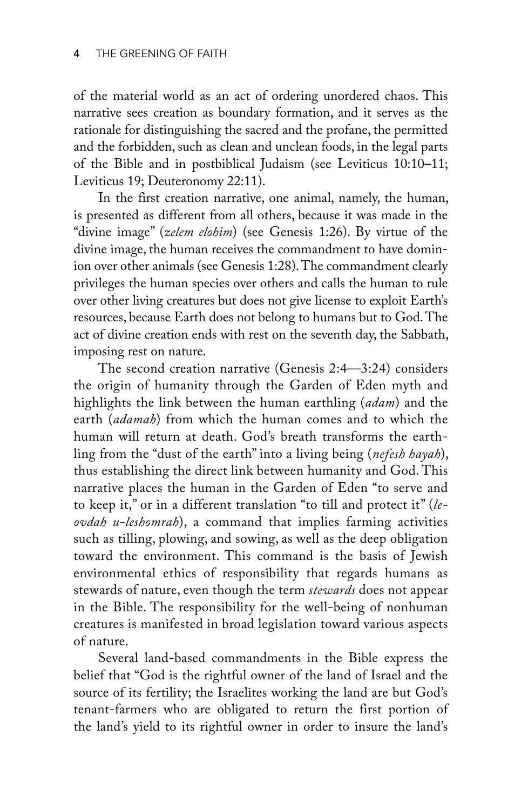of the material world as an act of ordering unordered chaos. This narrative sees creation as boundary formation, and it serves as the rationale for distinguishing the sacred and the profane, the permitted and the forbidden, such as clean and unclean foods, in the legal parts of the Bible and in postbiblical Judaism (see Leviticus 10:10–11; Leviticus 19; Deuteronomy 22:11).

In the first creation narrative, one animal, namely, the human, is presented as different from all others, because it was made in the "divine image" (*zelem elohim*) (see Genesis 1:26). By virtue of the divine image, the human receives the commandment to have dominion over other animals (see Genesis 1:28). The commandment clearly privileges the human species over others and calls the human to rule over other living creatures but does not give license to exploit Earth's resources, because Earth does not belong to humans but to God. The act of divine creation ends with rest on the seventh day, the Sabbath, imposing rest on nature.

The second creation narrative (Genesis 2:4—3:24) considers the origin of humanity through the Garden of Eden myth and highlights the link between the human earthling (*adam*) and the earth (*adamah*) from which the human comes and to which the human will return at death. God's breath transforms the earthling from the "dust of the earth" into a living being (*nefesh hayah*), thus establishing the direct link between humanity and God. This narrative places the human in the Garden of Eden "to serve and to keep it," or in a different translation "to till and protect it" (*leovdah u-leshomrah*), a command that implies farming activities such as tilling, plowing, and sowing, as well as the deep obligation toward the environment. This command is the basis of Jewish environmental ethics of responsibility that regards humans as stewards of nature, even though the term *stewards* does not appear in the Bible. The responsibility for the well-being of nonhuman creatures is manifested in broad legislation toward various aspects of nature.

Several land-based commandments in the Bible express the belief that "God is the rightful owner of the land of Israel and the source of its fertility; the Israelites working the land are but God's tenant-farmers who are obligated to return the first portion of the land's yield to its rightful owner in order to insure the land's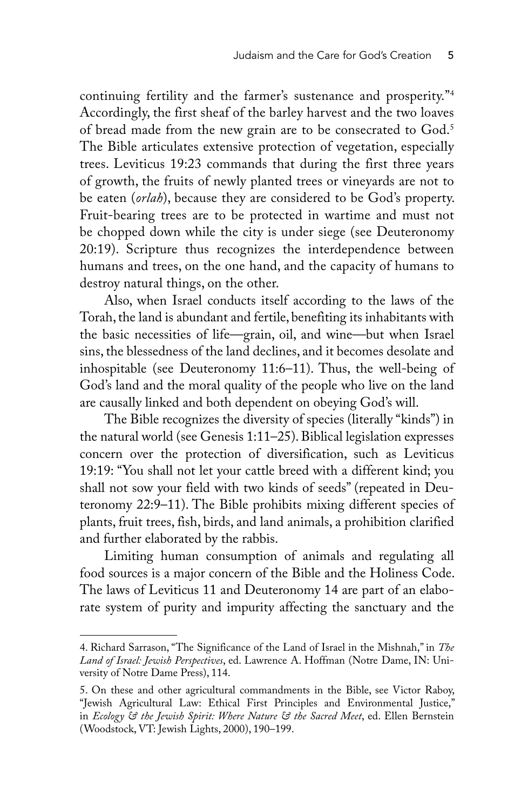continuing fertility and the farmer's sustenance and prosperity."4 Accordingly, the first sheaf of the barley harvest and the two loaves of bread made from the new grain are to be consecrated to God.5 The Bible articulates extensive protection of vegetation, especially trees. Leviticus 19:23 commands that during the first three years of growth, the fruits of newly planted trees or vineyards are not to be eaten (*orlah*), because they are considered to be God's property. Fruit-bearing trees are to be protected in wartime and must not be chopped down while the city is under siege (see Deuteronomy 20:19). Scripture thus recognizes the interdependence between humans and trees, on the one hand, and the capacity of humans to destroy natural things, on the other.

Also, when Israel conducts itself according to the laws of the Torah, the land is abundant and fertile, benefiting its inhabitants with the basic necessities of life—grain, oil, and wine—but when Israel sins, the blessedness of the land declines, and it becomes desolate and inhospitable (see Deuteronomy 11:6–11). Thus, the well-being of God's land and the moral quality of the people who live on the land are causally linked and both dependent on obeying God's will.

The Bible recognizes the diversity of species (literally "kinds") in the natural world (see Genesis 1:11–25). Biblical legislation expresses concern over the protection of diversification, such as Leviticus 19:19: "You shall not let your cattle breed with a different kind; you shall not sow your field with two kinds of seeds" (repeated in Deuteronomy 22:9–11). The Bible prohibits mixing different species of plants, fruit trees, fish, birds, and land animals, a prohibition clarified and further elaborated by the rabbis.

Limiting human consumption of animals and regulating all food sources is a major concern of the Bible and the Holiness Code. The laws of Leviticus 11 and Deuteronomy 14 are part of an elaborate system of purity and impurity affecting the sanctuary and the

<sup>4.</sup> Richard Sarrason, "The Significance of the Land of Israel in the Mishnah," in *The Land of Israel: Jewish Perspectives*, ed. Lawrence A. Hoffman (Notre Dame, IN: University of Notre Dame Press), 114.

<sup>5.</sup> On these and other agricultural commandments in the Bible, see Victor Raboy, "Jewish Agricultural Law: Ethical First Principles and Environmental Justice," in *Ecology & the Jewish Spirit: Where Nature & the Sacred Meet*, ed. Ellen Bernstein (Woodstock, VT: Jewish Lights, 2000), 190–199.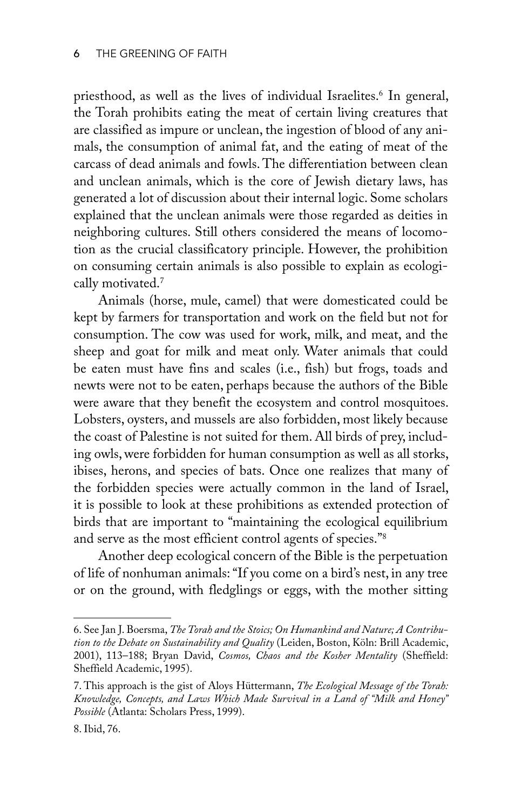priesthood, as well as the lives of individual Israelites.<sup>6</sup> In general, the Torah prohibits eating the meat of certain living creatures that are classified as impure or unclean, the ingestion of blood of any animals, the consumption of animal fat, and the eating of meat of the carcass of dead animals and fowls. The differentiation between clean and unclean animals, which is the core of Jewish dietary laws, has generated a lot of discussion about their internal logic. Some scholars explained that the unclean animals were those regarded as deities in neighboring cultures. Still others considered the means of locomotion as the crucial classificatory principle. However, the prohibition on consuming certain animals is also possible to explain as ecologically motivated.7

Animals (horse, mule, camel) that were domesticated could be kept by farmers for transportation and work on the field but not for consumption. The cow was used for work, milk, and meat, and the sheep and goat for milk and meat only. Water animals that could be eaten must have fins and scales (i.e., fish) but frogs, toads and newts were not to be eaten, perhaps because the authors of the Bible were aware that they benefit the ecosystem and control mosquitoes. Lobsters, oysters, and mussels are also forbidden, most likely because the coast of Palestine is not suited for them. All birds of prey, including owls, were forbidden for human consumption as well as all storks, ibises, herons, and species of bats. Once one realizes that many of the forbidden species were actually common in the land of Israel, it is possible to look at these prohibitions as extended protection of birds that are important to "maintaining the ecological equilibrium and serve as the most efficient control agents of species."8

Another deep ecological concern of the Bible is the perpetuation of life of nonhuman animals: "If you come on a bird's nest, in any tree or on the ground, with fledglings or eggs, with the mother sitting

<sup>6.</sup> See Jan J. Boersma, *The Torah and the Stoics; On Humankind and Nature; A Contribution to the Debate on Sustainability and Quality* (Leiden, Boston, Köln: Brill Academic, 2001), 113–188; Bryan David, *Cosmos, Chaos and the Kosher Mentality* (Sheffield: Sheffield Academic, 1995).

<sup>7.</sup> This approach is the gist of Aloys Hüttermann, *The Ecological Message of the Torah: Knowledge, Concepts, and Laws Which Made Survival in a Land of "Milk and Honey" Possible* (Atlanta: Scholars Press, 1999).

<sup>8.</sup> Ibid, 76.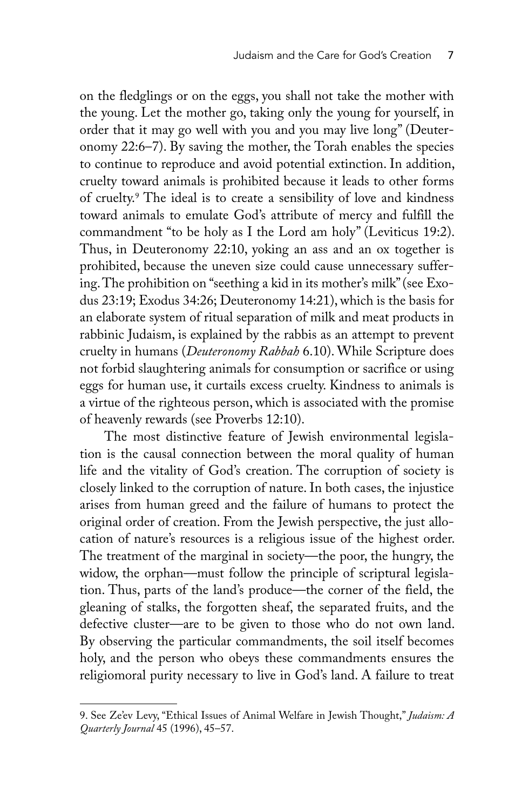on the fledglings or on the eggs, you shall not take the mother with the young. Let the mother go, taking only the young for yourself, in order that it may go well with you and you may live long" (Deuteronomy 22:6–7). By saving the mother, the Torah enables the species to continue to reproduce and avoid potential extinction. In addition, cruelty toward animals is prohibited because it leads to other forms of cruelty.9 The ideal is to create a sensibility of love and kindness toward animals to emulate God's attribute of mercy and fulfill the commandment "to be holy as I the Lord am holy" (Leviticus 19:2). Thus, in Deuteronomy 22:10, yoking an ass and an ox together is prohibited, because the uneven size could cause unnecessary suffering. The prohibition on "seething a kid in its mother's milk" (see Exodus 23:19; Exodus 34:26; Deuteronomy 14:21), which is the basis for an elaborate system of ritual separation of milk and meat products in rabbinic Judaism, is explained by the rabbis as an attempt to prevent cruelty in humans (*Deuteronomy Rabbah* 6.10). While Scripture does not forbid slaughtering animals for consumption or sacrifice or using eggs for human use, it curtails excess cruelty. Kindness to animals is a virtue of the righteous person, which is associated with the promise of heavenly rewards (see Proverbs 12:10).

The most distinctive feature of Jewish environmental legislation is the causal connection between the moral quality of human life and the vitality of God's creation. The corruption of society is closely linked to the corruption of nature. In both cases, the injustice arises from human greed and the failure of humans to protect the original order of creation. From the Jewish perspective, the just allocation of nature's resources is a religious issue of the highest order. The treatment of the marginal in society—the poor, the hungry, the widow, the orphan—must follow the principle of scriptural legislation. Thus, parts of the land's produce—the corner of the field, the gleaning of stalks, the forgotten sheaf, the separated fruits, and the defective cluster—are to be given to those who do not own land. By observing the particular commandments, the soil itself becomes holy, and the person who obeys these commandments ensures the religiomoral purity necessary to live in God's land. A failure to treat

<sup>9.</sup> See Ze'ev Levy, "Ethical Issues of Animal Welfare in Jewish Thought," *Judaism: A Quarterly Journal* 45 (1996), 45–57.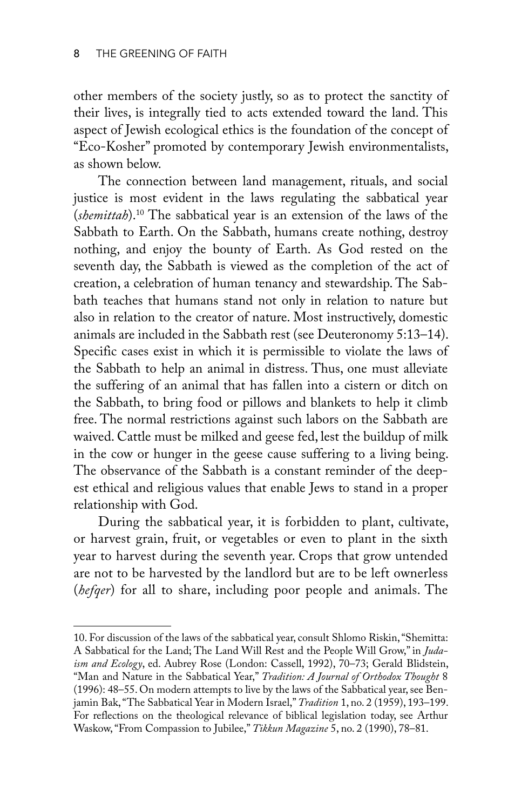other members of the society justly, so as to protect the sanctity of their lives, is integrally tied to acts extended toward the land. This aspect of Jewish ecological ethics is the foundation of the concept of "Eco-Kosher" promoted by contemporary Jewish environmentalists, as shown below.

The connection between land management, rituals, and social justice is most evident in the laws regulating the sabbatical year (*shemittah*).10 The sabbatical year is an extension of the laws of the Sabbath to Earth. On the Sabbath, humans create nothing, destroy nothing, and enjoy the bounty of Earth. As God rested on the seventh day, the Sabbath is viewed as the completion of the act of creation, a celebration of human tenancy and stewardship. The Sabbath teaches that humans stand not only in relation to nature but also in relation to the creator of nature. Most instructively, domestic animals are included in the Sabbath rest (see Deuteronomy 5:13–14). Specific cases exist in which it is permissible to violate the laws of the Sabbath to help an animal in distress. Thus, one must alleviate the suffering of an animal that has fallen into a cistern or ditch on the Sabbath, to bring food or pillows and blankets to help it climb free. The normal restrictions against such labors on the Sabbath are waived. Cattle must be milked and geese fed, lest the buildup of milk in the cow or hunger in the geese cause suffering to a living being. The observance of the Sabbath is a constant reminder of the deepest ethical and religious values that enable Jews to stand in a proper relationship with God.

During the sabbatical year, it is forbidden to plant, cultivate, or harvest grain, fruit, or vegetables or even to plant in the sixth year to harvest during the seventh year. Crops that grow untended are not to be harvested by the landlord but are to be left ownerless (*hefqer*) for all to share, including poor people and animals. The

<sup>10.</sup> For discussion of the laws of the sabbatical year, consult Shlomo Riskin, "Shemitta: A Sabbatical for the Land; The Land Will Rest and the People Will Grow," in *Judaism and Ecology*, ed. Aubrey Rose (London: Cassell, 1992), 70–73; Gerald Blidstein, "Man and Nature in the Sabbatical Year," *Tradition: A Journal of Orthodox Thought* 8 (1996): 48–55. On modern attempts to live by the laws of the Sabbatical year, see Benjamin Bak, "The Sabbatical Year in Modern Israel," *Tradition* 1, no. 2 (1959), 193–199. For reflections on the theological relevance of biblical legislation today, see Arthur Waskow, "From Compassion to Jubilee," *Tikkun Magazine* 5, no. 2 (1990), 78–81.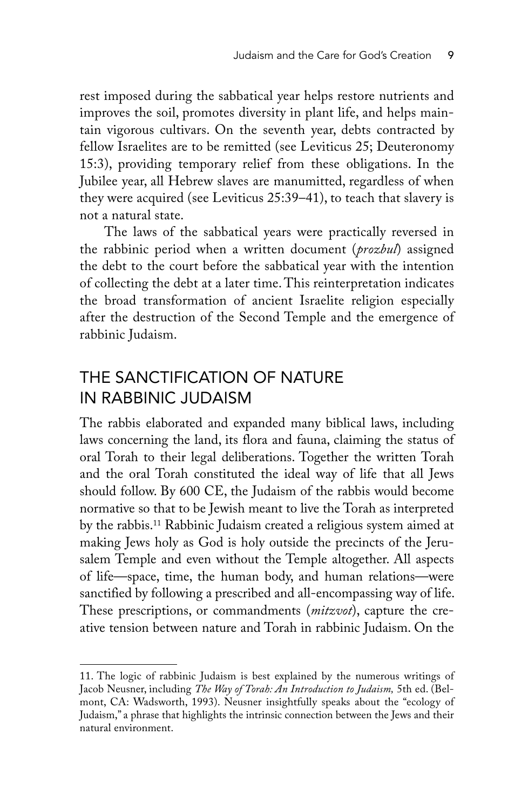rest imposed during the sabbatical year helps restore nutrients and improves the soil, promotes diversity in plant life, and helps maintain vigorous cultivars. On the seventh year, debts contracted by fellow Israelites are to be remitted (see Leviticus 25; Deuteronomy 15:3), providing temporary relief from these obligations. In the Jubilee year, all Hebrew slaves are manumitted, regardless of when they were acquired (see Leviticus 25:39–41), to teach that slavery is not a natural state.

The laws of the sabbatical years were practically reversed in the rabbinic period when a written document (*prozbul*) assigned the debt to the court before the sabbatical year with the intention of collecting the debt at a later time. This reinterpretation indicates the broad transformation of ancient Israelite religion especially after the destruction of the Second Temple and the emergence of rabbinic Judaism.

#### THE SANCTIFICATION OF NATURE IN RABBINIC JUDAISM

The rabbis elaborated and expanded many biblical laws, including laws concerning the land, its flora and fauna, claiming the status of oral Torah to their legal deliberations. Together the written Torah and the oral Torah constituted the ideal way of life that all Jews should follow. By 600 CE, the Judaism of the rabbis would become normative so that to be Jewish meant to live the Torah as interpreted by the rabbis.11 Rabbinic Judaism created a religious system aimed at making Jews holy as God is holy outside the precincts of the Jerusalem Temple and even without the Temple altogether. All aspects of life—space, time, the human body, and human relations—were sanctified by following a prescribed and all-encompassing way of life. These prescriptions, or commandments (*mitzvot*), capture the creative tension between nature and Torah in rabbinic Judaism. On the

<sup>11.</sup> The logic of rabbinic Judaism is best explained by the numerous writings of Jacob Neusner, including *The Way of Torah: An Introduction to Judaism,* 5th ed. (Belmont, CA: Wadsworth, 1993). Neusner insightfully speaks about the "ecology of Judaism," a phrase that highlights the intrinsic connection between the Jews and their natural environment.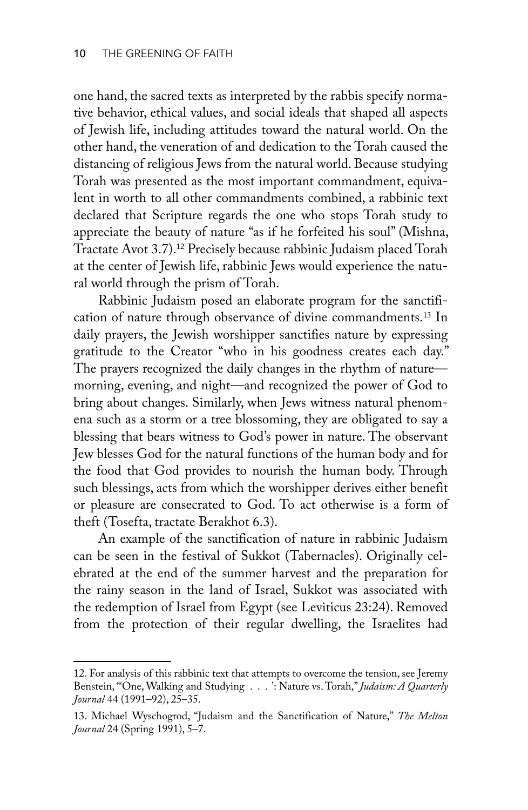one hand, the sacred texts as interpreted by the rabbis specify normative behavior, ethical values, and social ideals that shaped all aspects of Jewish life, including attitudes toward the natural world. On the other hand, the veneration of and dedication to the Torah caused the distancing of religious Jews from the natural world. Because studying Torah was presented as the most important commandment, equivalent in worth to all other commandments combined, a rabbinic text declared that Scripture regards the one who stops Torah study to appreciate the beauty of nature "as if he forfeited his soul" (Mishna, Tractate Avot 3.7).12 Precisely because rabbinic Judaism placed Torah at the center of Jewish life, rabbinic Jews would experience the natural world through the prism of Torah.

Rabbinic Judaism posed an elaborate program for the sanctification of nature through observance of divine commandments.13 In daily prayers, the Jewish worshipper sanctifies nature by expressing gratitude to the Creator "who in his goodness creates each day." The prayers recognized the daily changes in the rhythm of nature morning, evening, and night—and recognized the power of God to bring about changes. Similarly, when Jews witness natural phenomena such as a storm or a tree blossoming, they are obligated to say a blessing that bears witness to God's power in nature. The observant Jew blesses God for the natural functions of the human body and for the food that God provides to nourish the human body. Through such blessings, acts from which the worshipper derives either benefit or pleasure are consecrated to God. To act otherwise is a form of theft (Tosefta, tractate Berakhot 6.3).

An example of the sanctification of nature in rabbinic Judaism can be seen in the festival of Sukkot (Tabernacles). Originally celebrated at the end of the summer harvest and the preparation for the rainy season in the land of Israel, Sukkot was associated with the redemption of Israel from Egypt (see Leviticus 23:24). Removed from the protection of their regular dwelling, the Israelites had

<sup>12.</sup> For analysis of this rabbinic text that attempts to overcome the tension, see Jeremy Benstein, "'One, Walking and Studying . . . ': Nature vs. Torah," *Judaism: A Quarterly Journal* 44 (1991–92), 25–35.

<sup>13.</sup> Michael Wyschogrod, "Judaism and the Sanctification of Nature," *The Melton Journal* 24 (Spring 1991), 5–7.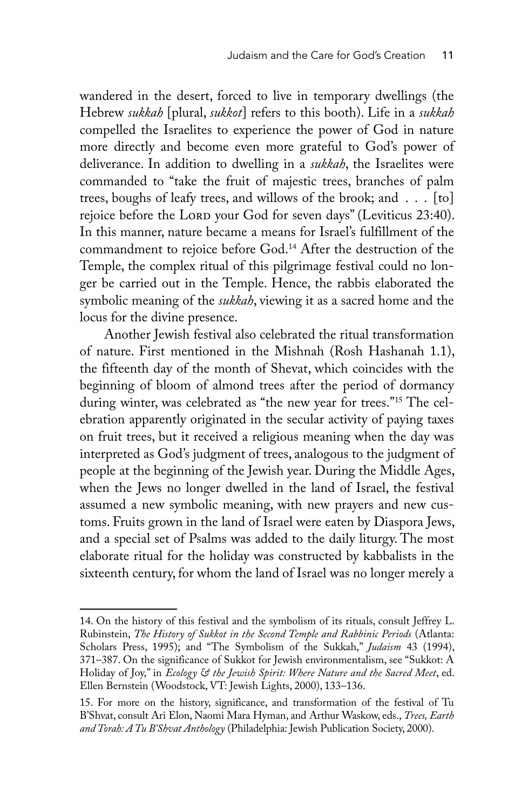wandered in the desert, forced to live in temporary dwellings (the Hebrew *sukkah* [plural, *sukkot*] refers to this booth). Life in a *sukkah* compelled the Israelites to experience the power of God in nature more directly and become even more grateful to God's power of deliverance. In addition to dwelling in a *sukkah*, the Israelites were commanded to "take the fruit of majestic trees, branches of palm trees, boughs of leafy trees, and willows of the brook; and . . . [to] rejoice before the Lorp your God for seven days" (Leviticus 23:40). In this manner, nature became a means for Israel's fulfillment of the commandment to rejoice before God.14 After the destruction of the Temple, the complex ritual of this pilgrimage festival could no longer be carried out in the Temple. Hence, the rabbis elaborated the symbolic meaning of the *sukkah*, viewing it as a sacred home and the locus for the divine presence.

Another Jewish festival also celebrated the ritual transformation of nature. First mentioned in the Mishnah (Rosh Hashanah 1.1), the fifteenth day of the month of Shevat, which coincides with the beginning of bloom of almond trees after the period of dormancy during winter, was celebrated as "the new year for trees."15 The celebration apparently originated in the secular activity of paying taxes on fruit trees, but it received a religious meaning when the day was interpreted as God's judgment of trees, analogous to the judgment of people at the beginning of the Jewish year. During the Middle Ages, when the Jews no longer dwelled in the land of Israel, the festival assumed a new symbolic meaning, with new prayers and new customs. Fruits grown in the land of Israel were eaten by Diaspora Jews, and a special set of Psalms was added to the daily liturgy. The most elaborate ritual for the holiday was constructed by kabbalists in the sixteenth century, for whom the land of Israel was no longer merely a

<sup>14.</sup> On the history of this festival and the symbolism of its rituals, consult Jeffrey L. Rubinstein, *The History of Sukkot in the Second Temple and Rabbinic Periods* (Atlanta: Scholars Press, 1995); and "The Symbolism of the Sukkah," *Judaism* 43 (1994), 371–387. On the significance of Sukkot for Jewish environmentalism, see "Sukkot: A Holiday of Joy," in *Ecology & the Jewish Spirit: Where Nature and the Sacred Meet*, ed. Ellen Bernstein (Woodstock, VT: Jewish Lights, 2000), 133–136.

<sup>15.</sup> For more on the history, significance, and transformation of the festival of Tu B'Shvat, consult Ari Elon, Naomi Mara Hyman, and Arthur Waskow, eds., *Trees, Earth and Torah: A Tu B'Shvat Anthology* (Philadelphia: Jewish Publication Society, 2000).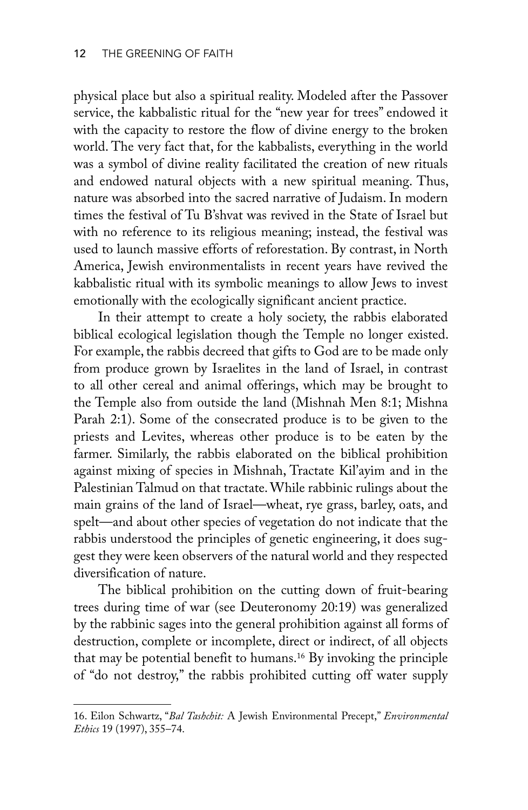physical place but also a spiritual reality. Modeled after the Passover service, the kabbalistic ritual for the "new year for trees" endowed it with the capacity to restore the flow of divine energy to the broken world. The very fact that, for the kabbalists, everything in the world was a symbol of divine reality facilitated the creation of new rituals and endowed natural objects with a new spiritual meaning. Thus, nature was absorbed into the sacred narrative of Judaism. In modern times the festival of Tu B'shvat was revived in the State of Israel but with no reference to its religious meaning; instead, the festival was used to launch massive efforts of reforestation. By contrast, in North America, Jewish environmentalists in recent years have revived the kabbalistic ritual with its symbolic meanings to allow Jews to invest emotionally with the ecologically significant ancient practice.

In their attempt to create a holy society, the rabbis elaborated biblical ecological legislation though the Temple no longer existed. For example, the rabbis decreed that gifts to God are to be made only from produce grown by Israelites in the land of Israel, in contrast to all other cereal and animal offerings, which may be brought to the Temple also from outside the land (Mishnah Men 8:1; Mishna Parah 2:1). Some of the consecrated produce is to be given to the priests and Levites, whereas other produce is to be eaten by the farmer. Similarly, the rabbis elaborated on the biblical prohibition against mixing of species in Mishnah, Tractate Kil'ayim and in the Palestinian Talmud on that tractate. While rabbinic rulings about the main grains of the land of Israel—wheat, rye grass, barley, oats, and spelt—and about other species of vegetation do not indicate that the rabbis understood the principles of genetic engineering, it does suggest they were keen observers of the natural world and they respected diversification of nature.

The biblical prohibition on the cutting down of fruit-bearing trees during time of war (see Deuteronomy 20:19) was generalized by the rabbinic sages into the general prohibition against all forms of destruction, complete or incomplete, direct or indirect, of all objects that may be potential benefit to humans.16 By invoking the principle of "do not destroy," the rabbis prohibited cutting off water supply

<sup>16.</sup> Eilon Schwartz, "*Bal Tashchit:* A Jewish Environmental Precept," *Environmental Ethics* 19 (1997), 355–74.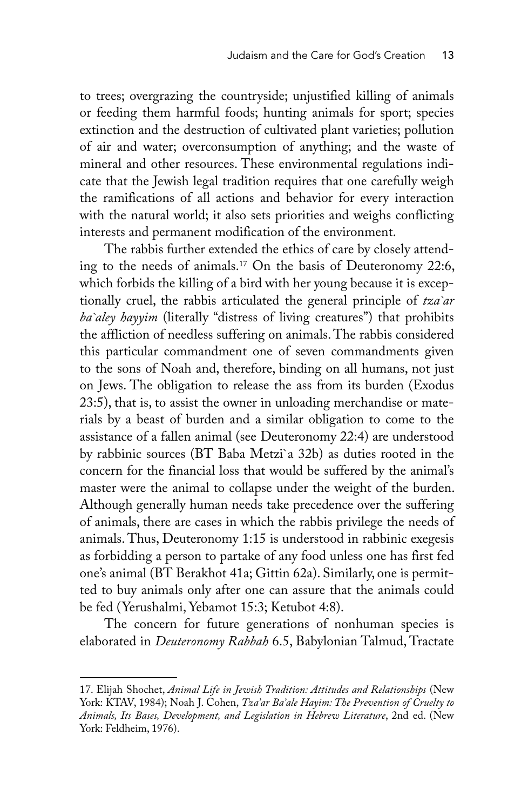to trees; overgrazing the countryside; unjustified killing of animals or feeding them harmful foods; hunting animals for sport; species extinction and the destruction of cultivated plant varieties; pollution of air and water; overconsumption of anything; and the waste of mineral and other resources. These environmental regulations indicate that the Jewish legal tradition requires that one carefully weigh the ramifications of all actions and behavior for every interaction with the natural world; it also sets priorities and weighs conflicting interests and permanent modification of the environment.

The rabbis further extended the ethics of care by closely attending to the needs of animals.17 On the basis of Deuteronomy 22:6, which forbids the killing of a bird with her young because it is exceptionally cruel, the rabbis articulated the general principle of *tza`ar ba`aley hayyim* (literally "distress of living creatures") that prohibits the affliction of needless suffering on animals. The rabbis considered this particular commandment one of seven commandments given to the sons of Noah and, therefore, binding on all humans, not just on Jews. The obligation to release the ass from its burden (Exodus 23:5), that is, to assist the owner in unloading merchandise or materials by a beast of burden and a similar obligation to come to the assistance of a fallen animal (see Deuteronomy 22:4) are understood by rabbinic sources (BT Baba Metzi`a 32b) as duties rooted in the concern for the financial loss that would be suffered by the animal's master were the animal to collapse under the weight of the burden. Although generally human needs take precedence over the suffering of animals, there are cases in which the rabbis privilege the needs of animals. Thus, Deuteronomy 1:15 is understood in rabbinic exegesis as forbidding a person to partake of any food unless one has first fed one's animal (BT Berakhot 41a; Gittin 62a). Similarly, one is permitted to buy animals only after one can assure that the animals could be fed (Yerushalmi, Yebamot 15:3; Ketubot 4:8).

The concern for future generations of nonhuman species is elaborated in *Deuteronomy Rabbah* 6.5, Babylonian Talmud, Tractate

<sup>17.</sup> Elijah Shochet, *Animal Life in Jewish Tradition: Attitudes and Relationships* (New York: KTAV, 1984); Noah J. Cohen, *Tza'ar Ba'ale Hayim: The Prevention of Cruelty to Animals, Its Bases, Development, and Legislation in Hebrew Literature*, 2nd ed. (New York: Feldheim, 1976).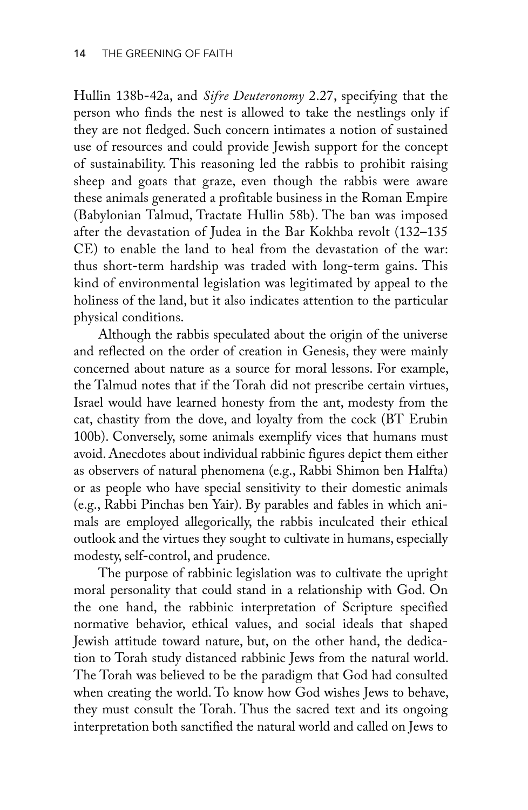Hullin 138b-42a, and *Sifre Deuteronomy* 2.27, specifying that the person who finds the nest is allowed to take the nestlings only if they are not fledged. Such concern intimates a notion of sustained use of resources and could provide Jewish support for the concept of sustainability. This reasoning led the rabbis to prohibit raising sheep and goats that graze, even though the rabbis were aware these animals generated a profitable business in the Roman Empire (Babylonian Talmud, Tractate Hullin 58b). The ban was imposed after the devastation of Judea in the Bar Kokhba revolt (132–135 CE) to enable the land to heal from the devastation of the war: thus short-term hardship was traded with long-term gains. This kind of environmental legislation was legitimated by appeal to the holiness of the land, but it also indicates attention to the particular physical conditions.

Although the rabbis speculated about the origin of the universe and reflected on the order of creation in Genesis, they were mainly concerned about nature as a source for moral lessons. For example, the Talmud notes that if the Torah did not prescribe certain virtues, Israel would have learned honesty from the ant, modesty from the cat, chastity from the dove, and loyalty from the cock (BT Erubin 100b). Conversely, some animals exemplify vices that humans must avoid. Anecdotes about individual rabbinic figures depict them either as observers of natural phenomena (e.g., Rabbi Shimon ben Halfta) or as people who have special sensitivity to their domestic animals (e.g., Rabbi Pinchas ben Yair). By parables and fables in which animals are employed allegorically, the rabbis inculcated their ethical outlook and the virtues they sought to cultivate in humans, especially modesty, self-control, and prudence.

The purpose of rabbinic legislation was to cultivate the upright moral personality that could stand in a relationship with God. On the one hand, the rabbinic interpretation of Scripture specified normative behavior, ethical values, and social ideals that shaped Jewish attitude toward nature, but, on the other hand, the dedication to Torah study distanced rabbinic Jews from the natural world. The Torah was believed to be the paradigm that God had consulted when creating the world. To know how God wishes Jews to behave, they must consult the Torah. Thus the sacred text and its ongoing interpretation both sanctified the natural world and called on Jews to